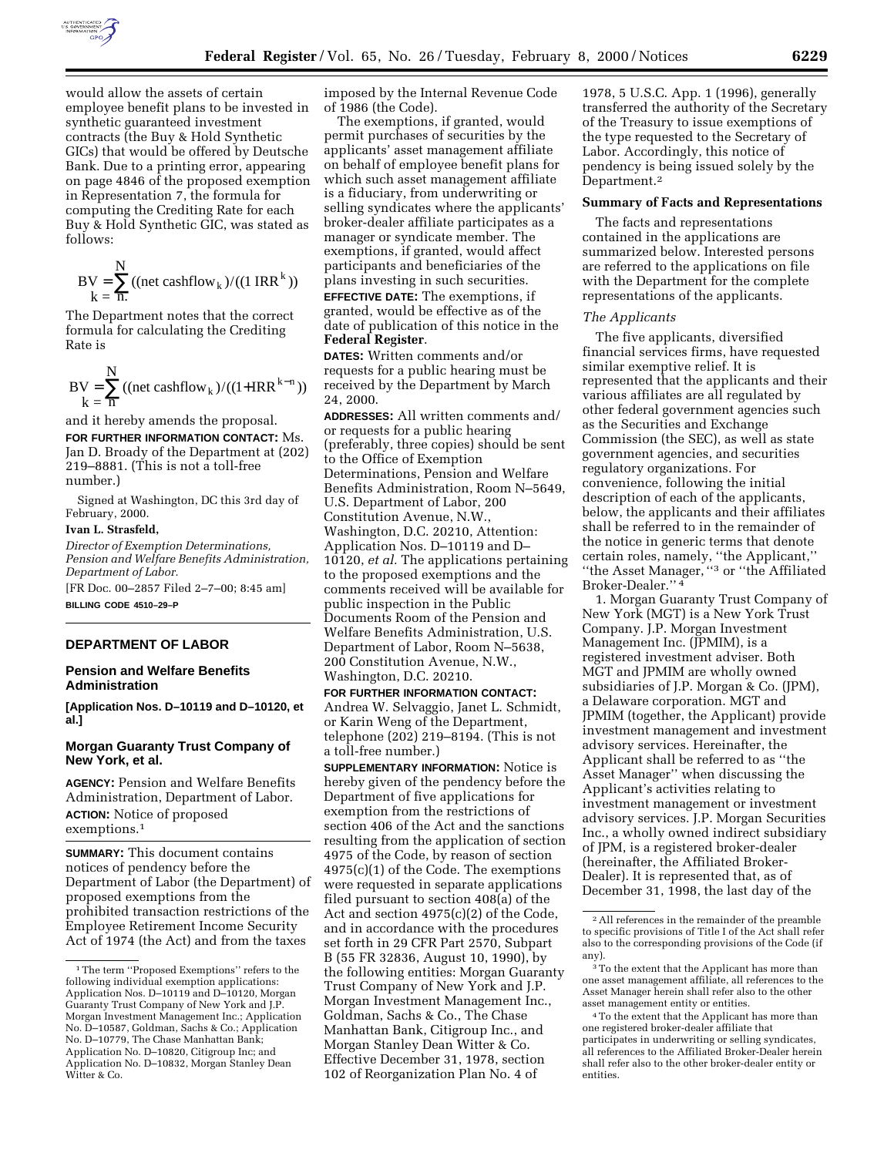

would allow the assets of certain employee benefit plans to be invested in synthetic guaranteed investment contracts (the Buy & Hold Synthetic GICs) that would be offered by Deutsche Bank. Due to a printing error, appearing on page 4846 of the proposed exemption in Representation 7, the formula for computing the Crediting Rate for each Buy & Hold Synthetic GIC, was stated as follows:

$$
BV = \sum_{k=1}^{N} ((net cashflow_k) / ((1 IRR^k))
$$

The Department notes that the correct formula for calculating the Crediting Rate is

 N flow  $k = \overline{n}$  $BV = \sum ((\text{net cashflow}_k) / ((1 + \text{IRR}^{k-n}))$ 

and it hereby amends the proposal. **FOR FURTHER INFORMATION CONTACT:** Ms. Jan D. Broady of the Department at (202) 219–8881. (This is not a toll-free number.)

Signed at Washington, DC this 3rd day of February, 2000.

# **Ivan L. Strasfeld,**

*Director of Exemption Determinations, Pension and Welfare Benefits Administration, Department of Labor.* [FR Doc. 00–2857 Filed 2–7–00; 8:45 am]

**BILLING CODE 4510–29–P**

# **DEPARTMENT OF LABOR**

# **Pension and Welfare Benefits Administration**

**[Application Nos. D–10119 and D–10120, et al.]**

## **Morgan Guaranty Trust Company of New York, et al.**

**AGENCY:** Pension and Welfare Benefits Administration, Department of Labor. **ACTION:** Notice of proposed exemptions.1

**SUMMARY:** This document contains notices of pendency before the Department of Labor (the Department) of proposed exemptions from the prohibited transaction restrictions of the Employee Retirement Income Security Act of 1974 (the Act) and from the taxes

imposed by the Internal Revenue Code of 1986 (the Code).

The exemptions, if granted, would permit purchases of securities by the applicants' asset management affiliate on behalf of employee benefit plans for which such asset management affiliate is a fiduciary, from underwriting or selling syndicates where the applicants' broker-dealer affiliate participates as a manager or syndicate member. The exemptions, if granted, would affect participants and beneficiaries of the plans investing in such securities.

**EFFECTIVE DATE:** The exemptions, if granted, would be effective as of the date of publication of this notice in the **Federal Register**.

**DATES:** Written comments and/or requests for a public hearing must be received by the Department by March 24, 2000.

**ADDRESSES:** All written comments and/ or requests for a public hearing (preferably, three copies) should be sent to the Office of Exemption Determinations, Pension and Welfare Benefits Administration, Room N–5649, U.S. Department of Labor, 200 Constitution Avenue, N.W., Washington, D.C. 20210, Attention: Application Nos. D–10119 and D– 10120, *et al.* The applications pertaining to the proposed exemptions and the comments received will be available for public inspection in the Public Documents Room of the Pension and Welfare Benefits Administration, U.S. Department of Labor, Room N–5638, 200 Constitution Avenue, N.W., Washington, D.C. 20210.

**FOR FURTHER INFORMATION CONTACT:** Andrea W. Selvaggio, Janet L. Schmidt, or Karin Weng of the Department, telephone  $(20\bar{2})$  219–8194. (This is not a toll-free number.)

**SUPPLEMENTARY INFORMATION:** Notice is hereby given of the pendency before the Department of five applications for exemption from the restrictions of section 406 of the Act and the sanctions resulting from the application of section 4975 of the Code, by reason of section 4975(c)(1) of the Code. The exemptions were requested in separate applications filed pursuant to section 408(a) of the Act and section 4975(c)(2) of the Code, and in accordance with the procedures set forth in 29 CFR Part 2570, Subpart B (55 FR 32836, August 10, 1990), by the following entities: Morgan Guaranty Trust Company of New York and J.P. Morgan Investment Management Inc., Goldman, Sachs & Co., The Chase Manhattan Bank, Citigroup Inc., and Morgan Stanley Dean Witter & Co. Effective December 31, 1978, section 102 of Reorganization Plan No. 4 of

1978, 5 U.S.C. App. 1 (1996), generally transferred the authority of the Secretary of the Treasury to issue exemptions of the type requested to the Secretary of Labor. Accordingly, this notice of pendency is being issued solely by the Department.<sup>2</sup>

#### **Summary of Facts and Representations**

The facts and representations contained in the applications are summarized below. Interested persons are referred to the applications on file with the Department for the complete representations of the applicants.

#### *The Applicants*

The five applicants, diversified financial services firms, have requested similar exemptive relief. It is represented that the applicants and their various affiliates are all regulated by other federal government agencies such as the Securities and Exchange Commission (the SEC), as well as state government agencies, and securities regulatory organizations. For convenience, following the initial description of each of the applicants, below, the applicants and their affiliates shall be referred to in the remainder of the notice in generic terms that denote certain roles, namely, ''the Applicant,'' ''the Asset Manager, ''3 or ''the Affiliated Broker-Dealer.'' 4

1. Morgan Guaranty Trust Company of New York (MGT) is a New York Trust Company. J.P. Morgan Investment Management Inc. (JPMIM), is a registered investment adviser. Both MGT and JPMIM are wholly owned subsidiaries of J.P. Morgan & Co. (JPM), a Delaware corporation. MGT and JPMIM (together, the Applicant) provide investment management and investment advisory services. Hereinafter, the Applicant shall be referred to as ''the Asset Manager'' when discussing the Applicant's activities relating to investment management or investment advisory services. J.P. Morgan Securities Inc., a wholly owned indirect subsidiary of JPM, is a registered broker-dealer (hereinafter, the Affiliated Broker-Dealer). It is represented that, as of December 31, 1998, the last day of the

<sup>1</sup>The term ''Proposed Exemptions'' refers to the following individual exemption applications: Application Nos. D–10119 and D–10120, Morgan Guaranty Trust Company of New York and J.P. Morgan Investment Management Inc.; Application No. D–10587, Goldman, Sachs & Co.; Application No. D–10779, The Chase Manhattan Bank; Application No. D–10820, Citigroup Inc; and Application No. D–10832, Morgan Stanley Dean Witter & Co.

<sup>2</sup>All references in the remainder of the preamble to specific provisions of Title I of the Act shall refer also to the corresponding provisions of the Code (if any).

 $^{\rm 3}$  To the extent that the Applicant has more than one asset management affiliate, all references to the Asset Manager herein shall refer also to the other asset management entity or entities.

<sup>4</sup>To the extent that the Applicant has more than one registered broker-dealer affiliate that participates in underwriting or selling syndicates, all references to the Affiliated Broker-Dealer herein shall refer also to the other broker-dealer entity or entities.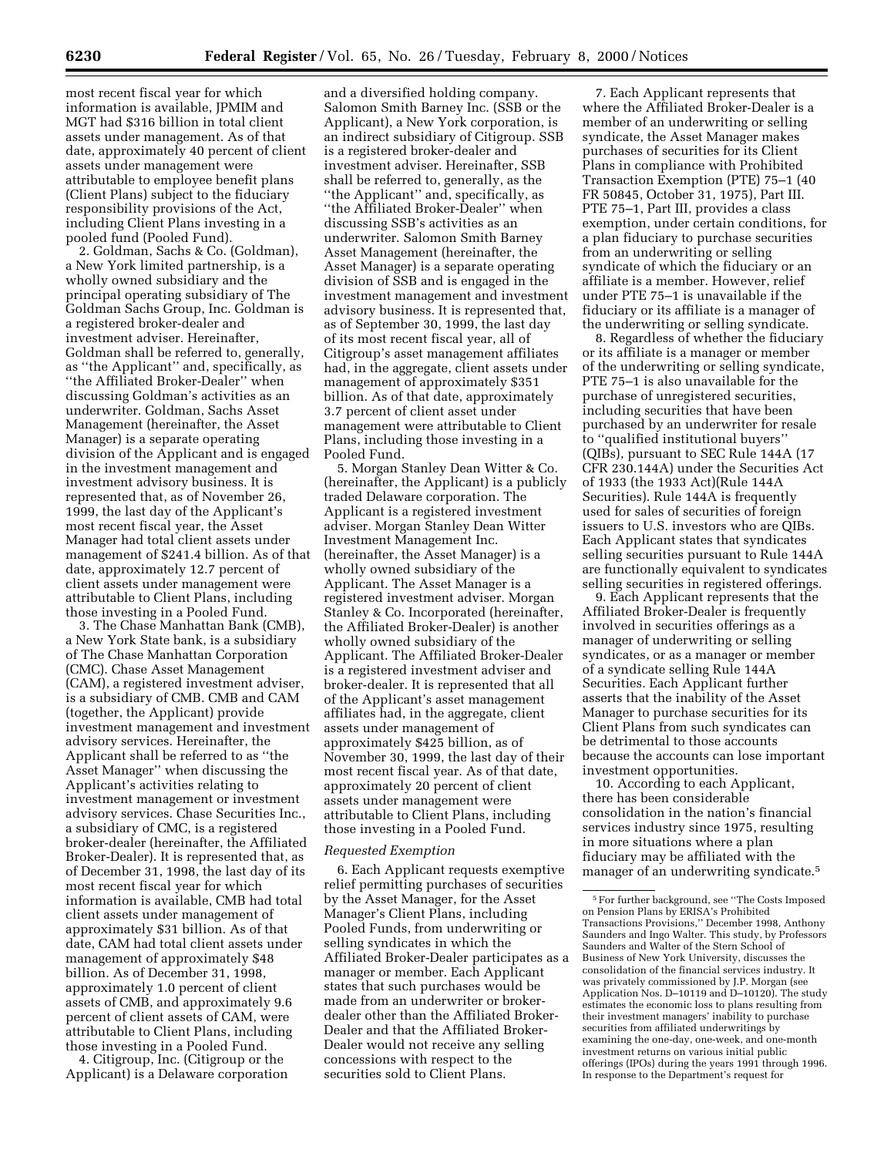most recent fiscal year for which information is available, JPMIM and MGT had \$316 billion in total client assets under management. As of that date, approximately 40 percent of client assets under management were attributable to employee benefit plans (Client Plans) subject to the fiduciary responsibility provisions of the Act, including Client Plans investing in a pooled fund (Pooled Fund).

2. Goldman, Sachs & Co. (Goldman), a New York limited partnership, is a wholly owned subsidiary and the principal operating subsidiary of The Goldman Sachs Group, Inc. Goldman is a registered broker-dealer and investment adviser. Hereinafter, Goldman shall be referred to, generally, as ''the Applicant'' and, specifically, as ''the Affiliated Broker-Dealer'' when discussing Goldman's activities as an underwriter. Goldman, Sachs Asset Management (hereinafter, the Asset Manager) is a separate operating division of the Applicant and is engaged in the investment management and investment advisory business. It is represented that, as of November 26, 1999, the last day of the Applicant's most recent fiscal year, the Asset Manager had total client assets under management of \$241.4 billion. As of that date, approximately 12.7 percent of client assets under management were attributable to Client Plans, including those investing in a Pooled Fund.

3. The Chase Manhattan Bank (CMB), a New York State bank, is a subsidiary of The Chase Manhattan Corporation (CMC). Chase Asset Management (CAM), a registered investment adviser, is a subsidiary of CMB. CMB and CAM (together, the Applicant) provide investment management and investment advisory services. Hereinafter, the Applicant shall be referred to as ''the Asset Manager'' when discussing the Applicant's activities relating to investment management or investment advisory services. Chase Securities Inc., a subsidiary of CMC, is a registered broker-dealer (hereinafter, the Affiliated Broker-Dealer). It is represented that, as of December 31, 1998, the last day of its most recent fiscal year for which information is available, CMB had total client assets under management of approximately \$31 billion. As of that date, CAM had total client assets under management of approximately \$48 billion. As of December 31, 1998, approximately 1.0 percent of client assets of CMB, and approximately 9.6 percent of client assets of CAM, were attributable to Client Plans, including those investing in a Pooled Fund.

4. Citigroup, Inc. (Citigroup or the Applicant) is a Delaware corporation

and a diversified holding company. Salomon Smith Barney Inc. (SSB or the Applicant), a New York corporation, is an indirect subsidiary of Citigroup. SSB is a registered broker-dealer and investment adviser. Hereinafter, SSB shall be referred to, generally, as the ''the Applicant'' and, specifically, as ''the Affiliated Broker-Dealer'' when discussing SSB's activities as an underwriter. Salomon Smith Barney Asset Management (hereinafter, the Asset Manager) is a separate operating division of SSB and is engaged in the investment management and investment advisory business. It is represented that, as of September 30, 1999, the last day of its most recent fiscal year, all of Citigroup's asset management affiliates had, in the aggregate, client assets under management of approximately \$351 billion. As of that date, approximately 3.7 percent of client asset under management were attributable to Client Plans, including those investing in a Pooled Fund.

5. Morgan Stanley Dean Witter & Co. (hereinafter, the Applicant) is a publicly traded Delaware corporation. The Applicant is a registered investment adviser. Morgan Stanley Dean Witter Investment Management Inc. (hereinafter, the Asset Manager) is a wholly owned subsidiary of the Applicant. The Asset Manager is a registered investment adviser. Morgan Stanley & Co. Incorporated (hereinafter, the Affiliated Broker-Dealer) is another wholly owned subsidiary of the Applicant. The Affiliated Broker-Dealer is a registered investment adviser and broker-dealer. It is represented that all of the Applicant's asset management affiliates had, in the aggregate, client assets under management of approximately \$425 billion, as of November 30, 1999, the last day of their most recent fiscal year. As of that date, approximately 20 percent of client assets under management were attributable to Client Plans, including those investing in a Pooled Fund.

### *Requested Exemption*

6. Each Applicant requests exemptive relief permitting purchases of securities by the Asset Manager, for the Asset Manager's Client Plans, including Pooled Funds, from underwriting or selling syndicates in which the Affiliated Broker-Dealer participates as a manager or member. Each Applicant states that such purchases would be made from an underwriter or brokerdealer other than the Affiliated Broker-Dealer and that the Affiliated Broker-Dealer would not receive any selling concessions with respect to the securities sold to Client Plans.

7. Each Applicant represents that where the Affiliated Broker-Dealer is a member of an underwriting or selling syndicate, the Asset Manager makes purchases of securities for its Client Plans in compliance with Prohibited Transaction Exemption (PTE) 75–1 (40 FR 50845, October 31, 1975), Part III. PTE 75–1, Part III, provides a class exemption, under certain conditions, for a plan fiduciary to purchase securities from an underwriting or selling syndicate of which the fiduciary or an affiliate is a member. However, relief under PTE 75–1 is unavailable if the fiduciary or its affiliate is a manager of the underwriting or selling syndicate.

8. Regardless of whether the fiduciary or its affiliate is a manager or member of the underwriting or selling syndicate, PTE 75–1 is also unavailable for the purchase of unregistered securities, including securities that have been purchased by an underwriter for resale to ''qualified institutional buyers'' (QIBs), pursuant to SEC Rule 144A (17 CFR 230.144A) under the Securities Act of 1933 (the 1933 Act)(Rule 144A Securities). Rule 144A is frequently used for sales of securities of foreign issuers to U.S. investors who are QIBs. Each Applicant states that syndicates selling securities pursuant to Rule 144A are functionally equivalent to syndicates selling securities in registered offerings.

9. Each Applicant represents that the Affiliated Broker-Dealer is frequently involved in securities offerings as a manager of underwriting or selling syndicates, or as a manager or member of a syndicate selling Rule 144A Securities. Each Applicant further asserts that the inability of the Asset Manager to purchase securities for its Client Plans from such syndicates can be detrimental to those accounts because the accounts can lose important investment opportunities.

10. According to each Applicant, there has been considerable consolidation in the nation's financial services industry since 1975, resulting in more situations where a plan fiduciary may be affiliated with the manager of an underwriting syndicate.5

<sup>5</sup>For further background, see ''The Costs Imposed on Pension Plans by ERISA's Prohibited Transactions Provisions,'' December 1998, Anthony Saunders and Ingo Walter. This study, by Professors Saunders and Walter of the Stern School of Business of New York University, discusses the consolidation of the financial services industry. It was privately commissioned by J.P. Morgan (see Application Nos. D–10119 and D–10120). The study estimates the economic loss to plans resulting from their investment managers' inability to purchase securities from affiliated underwritings by examining the one-day, one-week, and one-month investment returns on various initial public offerings (IPOs) during the years 1991 through 1996. In response to the Department's request for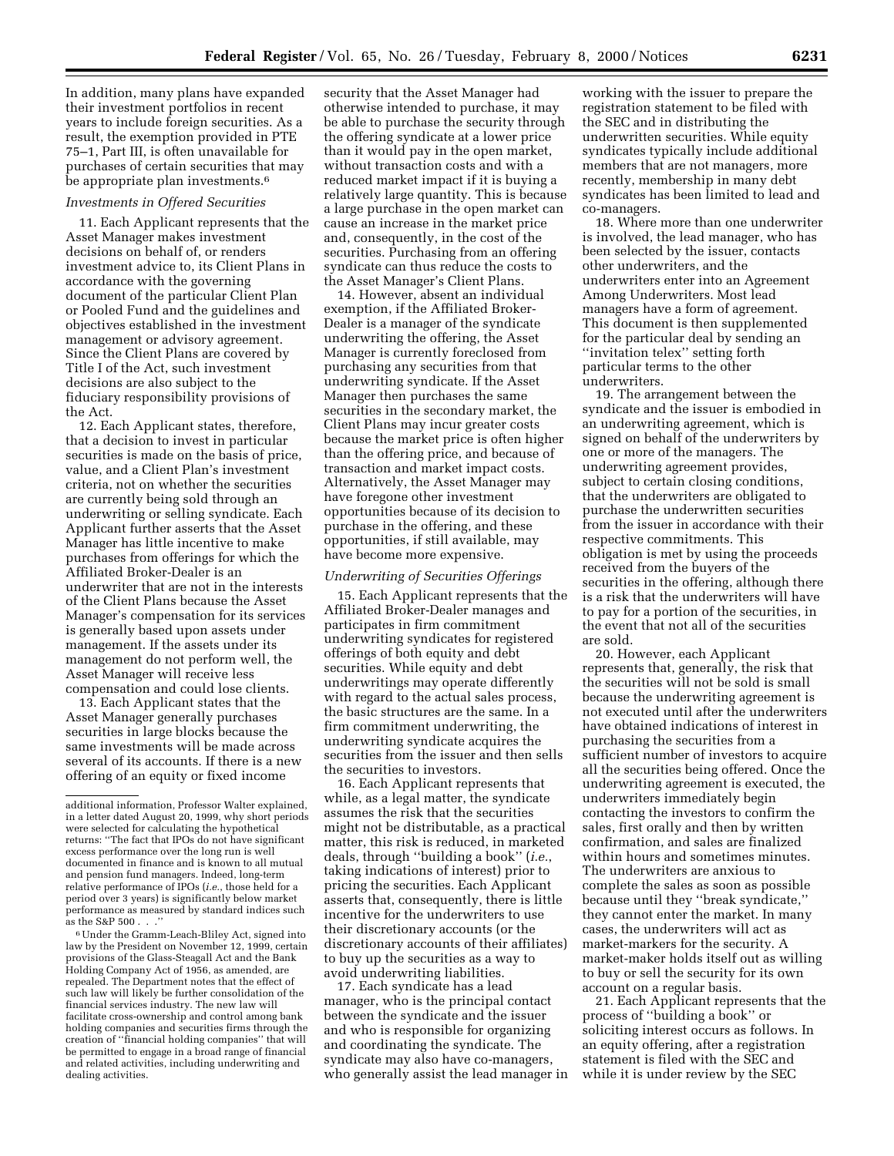In addition, many plans have expanded their investment portfolios in recent years to include foreign securities. As a result, the exemption provided in PTE 75–1, Part III, is often unavailable for purchases of certain securities that may be appropriate plan investments.<sup>6</sup>

#### *Investments in Offered Securities*

11. Each Applicant represents that the Asset Manager makes investment decisions on behalf of, or renders investment advice to, its Client Plans in accordance with the governing document of the particular Client Plan or Pooled Fund and the guidelines and objectives established in the investment management or advisory agreement. Since the Client Plans are covered by Title I of the Act, such investment decisions are also subject to the fiduciary responsibility provisions of the Act.

12. Each Applicant states, therefore, that a decision to invest in particular securities is made on the basis of price, value, and a Client Plan's investment criteria, not on whether the securities are currently being sold through an underwriting or selling syndicate. Each Applicant further asserts that the Asset Manager has little incentive to make purchases from offerings for which the Affiliated Broker-Dealer is an underwriter that are not in the interests of the Client Plans because the Asset Manager's compensation for its services is generally based upon assets under management. If the assets under its management do not perform well, the Asset Manager will receive less compensation and could lose clients.

13. Each Applicant states that the Asset Manager generally purchases securities in large blocks because the same investments will be made across several of its accounts. If there is a new offering of an equity or fixed income

6Under the Gramm-Leach-Bliley Act, signed into law by the President on November 12, 1999, certain provisions of the Glass-Steagall Act and the Bank Holding Company Act of 1956, as amended, are repealed. The Department notes that the effect of such law will likely be further consolidation of the financial services industry. The new law will facilitate cross-ownership and control among bank holding companies and securities firms through the creation of ''financial holding companies'' that will be permitted to engage in a broad range of financial and related activities, including underwriting and dealing activities.

security that the Asset Manager had otherwise intended to purchase, it may be able to purchase the security through the offering syndicate at a lower price than it would pay in the open market, without transaction costs and with a reduced market impact if it is buying a relatively large quantity. This is because a large purchase in the open market can cause an increase in the market price and, consequently, in the cost of the securities. Purchasing from an offering syndicate can thus reduce the costs to the Asset Manager's Client Plans.

14. However, absent an individual exemption, if the Affiliated Broker-Dealer is a manager of the syndicate underwriting the offering, the Asset Manager is currently foreclosed from purchasing any securities from that underwriting syndicate. If the Asset Manager then purchases the same securities in the secondary market, the Client Plans may incur greater costs because the market price is often higher than the offering price, and because of transaction and market impact costs. Alternatively, the Asset Manager may have foregone other investment opportunities because of its decision to purchase in the offering, and these opportunities, if still available, may have become more expensive.

# *Underwriting of Securities Offerings*

15. Each Applicant represents that the Affiliated Broker-Dealer manages and participates in firm commitment underwriting syndicates for registered offerings of both equity and debt securities. While equity and debt underwritings may operate differently with regard to the actual sales process, the basic structures are the same. In a firm commitment underwriting, the underwriting syndicate acquires the securities from the issuer and then sells the securities to investors.

16. Each Applicant represents that while, as a legal matter, the syndicate assumes the risk that the securities might not be distributable, as a practical matter, this risk is reduced, in marketed deals, through ''building a book'' (*i.e.*, taking indications of interest) prior to pricing the securities. Each Applicant asserts that, consequently, there is little incentive for the underwriters to use their discretionary accounts (or the discretionary accounts of their affiliates) to buy up the securities as a way to avoid underwriting liabilities.

17. Each syndicate has a lead manager, who is the principal contact between the syndicate and the issuer and who is responsible for organizing and coordinating the syndicate. The syndicate may also have co-managers, who generally assist the lead manager in

working with the issuer to prepare the registration statement to be filed with the SEC and in distributing the underwritten securities. While equity syndicates typically include additional members that are not managers, more recently, membership in many debt syndicates has been limited to lead and co-managers.

18. Where more than one underwriter is involved, the lead manager, who has been selected by the issuer, contacts other underwriters, and the underwriters enter into an Agreement Among Underwriters. Most lead managers have a form of agreement. This document is then supplemented for the particular deal by sending an ''invitation telex'' setting forth particular terms to the other underwriters.

19. The arrangement between the syndicate and the issuer is embodied in an underwriting agreement, which is signed on behalf of the underwriters by one or more of the managers. The underwriting agreement provides, subject to certain closing conditions, that the underwriters are obligated to purchase the underwritten securities from the issuer in accordance with their respective commitments. This obligation is met by using the proceeds received from the buyers of the securities in the offering, although there is a risk that the underwriters will have to pay for a portion of the securities, in the event that not all of the securities are sold.

20. However, each Applicant represents that, generally, the risk that the securities will not be sold is small because the underwriting agreement is not executed until after the underwriters have obtained indications of interest in purchasing the securities from a sufficient number of investors to acquire all the securities being offered. Once the underwriting agreement is executed, the underwriters immediately begin contacting the investors to confirm the sales, first orally and then by written confirmation, and sales are finalized within hours and sometimes minutes. The underwriters are anxious to complete the sales as soon as possible because until they ''break syndicate,'' they cannot enter the market. In many cases, the underwriters will act as market-markers for the security. A market-maker holds itself out as willing to buy or sell the security for its own account on a regular basis.

21. Each Applicant represents that the process of ''building a book'' or soliciting interest occurs as follows. In an equity offering, after a registration statement is filed with the SEC and while it is under review by the SEC

additional information, Professor Walter explained, in a letter dated August 20, 1999, why short periods were selected for calculating the hypothetical returns: ''The fact that IPOs do not have significant excess performance over the long run is well documented in finance and is known to all mutual and pension fund managers. Indeed, long-term relative performance of IPOs (*i.e.*, those held for a period over 3 years) is significantly below market performance as measured by standard indices such as the S&P  $500 \ldots$ .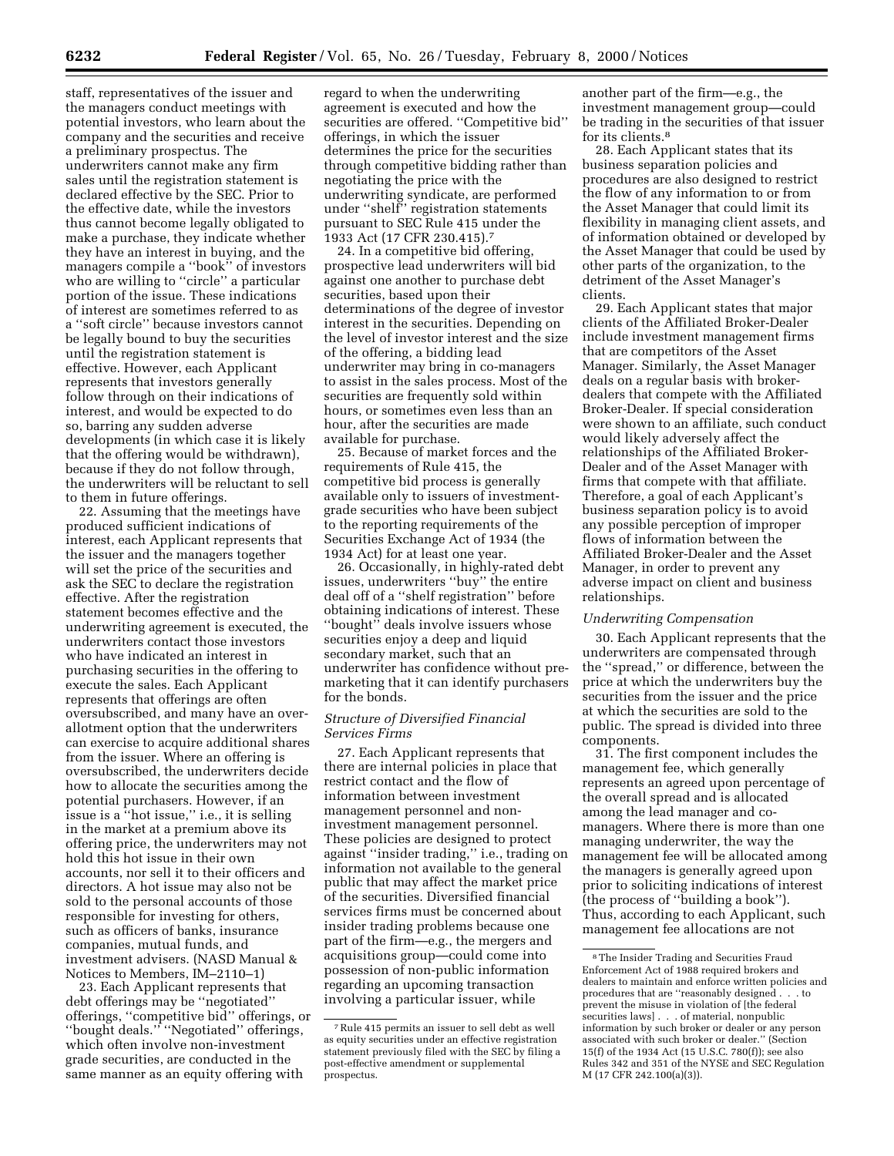staff, representatives of the issuer and the managers conduct meetings with potential investors, who learn about the company and the securities and receive a preliminary prospectus. The underwriters cannot make any firm sales until the registration statement is declared effective by the SEC. Prior to the effective date, while the investors thus cannot become legally obligated to make a purchase, they indicate whether they have an interest in buying, and the managers compile a ''book'' of investors who are willing to ''circle'' a particular portion of the issue. These indications of interest are sometimes referred to as a ''soft circle'' because investors cannot be legally bound to buy the securities until the registration statement is effective. However, each Applicant represents that investors generally follow through on their indications of interest, and would be expected to do so, barring any sudden adverse developments (in which case it is likely that the offering would be withdrawn), because if they do not follow through, the underwriters will be reluctant to sell to them in future offerings.

22. Assuming that the meetings have produced sufficient indications of interest, each Applicant represents that the issuer and the managers together will set the price of the securities and ask the SEC to declare the registration effective. After the registration statement becomes effective and the underwriting agreement is executed, the underwriters contact those investors who have indicated an interest in purchasing securities in the offering to execute the sales. Each Applicant represents that offerings are often oversubscribed, and many have an overallotment option that the underwriters can exercise to acquire additional shares from the issuer. Where an offering is oversubscribed, the underwriters decide how to allocate the securities among the potential purchasers. However, if an issue is a ''hot issue,'' i.e., it is selling in the market at a premium above its offering price, the underwriters may not hold this hot issue in their own accounts, nor sell it to their officers and directors. A hot issue may also not be sold to the personal accounts of those responsible for investing for others, such as officers of banks, insurance companies, mutual funds, and investment advisers. (NASD Manual & Notices to Members, IM–2110–1)

23. Each Applicant represents that debt offerings may be ''negotiated'' offerings, ''competitive bid'' offerings, or ''bought deals.'' ''Negotiated'' offerings, which often involve non-investment grade securities, are conducted in the same manner as an equity offering with

regard to when the underwriting agreement is executed and how the securities are offered. ''Competitive bid'' offerings, in which the issuer determines the price for the securities through competitive bidding rather than negotiating the price with the underwriting syndicate, are performed under ''shelf'' registration statements pursuant to SEC Rule 415 under the 1933 Act (17 CFR 230.415).7

24. In a competitive bid offering, prospective lead underwriters will bid against one another to purchase debt securities, based upon their determinations of the degree of investor interest in the securities. Depending on the level of investor interest and the size of the offering, a bidding lead underwriter may bring in co-managers to assist in the sales process. Most of the securities are frequently sold within hours, or sometimes even less than an hour, after the securities are made available for purchase.

25. Because of market forces and the requirements of Rule 415, the competitive bid process is generally available only to issuers of investmentgrade securities who have been subject to the reporting requirements of the Securities Exchange Act of 1934 (the 1934 Act) for at least one year.

26. Occasionally, in highly-rated debt issues, underwriters ''buy'' the entire deal off of a ''shelf registration'' before obtaining indications of interest. These ''bought'' deals involve issuers whose securities enjoy a deep and liquid secondary market, such that an underwriter has confidence without premarketing that it can identify purchasers for the bonds.

### *Structure of Diversified Financial Services Firms*

27. Each Applicant represents that there are internal policies in place that restrict contact and the flow of information between investment management personnel and noninvestment management personnel. These policies are designed to protect against ''insider trading,'' i.e., trading on information not available to the general public that may affect the market price of the securities. Diversified financial services firms must be concerned about insider trading problems because one part of the firm—e.g., the mergers and acquisitions group—could come into possession of non-public information regarding an upcoming transaction involving a particular issuer, while

another part of the firm—e.g., the investment management group—could be trading in the securities of that issuer for its clients.8

28. Each Applicant states that its business separation policies and procedures are also designed to restrict the flow of any information to or from the Asset Manager that could limit its flexibility in managing client assets, and of information obtained or developed by the Asset Manager that could be used by other parts of the organization, to the detriment of the Asset Manager's clients.

29. Each Applicant states that major clients of the Affiliated Broker-Dealer include investment management firms that are competitors of the Asset Manager. Similarly, the Asset Manager deals on a regular basis with brokerdealers that compete with the Affiliated Broker-Dealer. If special consideration were shown to an affiliate, such conduct would likely adversely affect the relationships of the Affiliated Broker-Dealer and of the Asset Manager with firms that compete with that affiliate. Therefore, a goal of each Applicant's business separation policy is to avoid any possible perception of improper flows of information between the Affiliated Broker-Dealer and the Asset Manager, in order to prevent any adverse impact on client and business relationships.

### *Underwriting Compensation*

30. Each Applicant represents that the underwriters are compensated through the ''spread,'' or difference, between the price at which the underwriters buy the securities from the issuer and the price at which the securities are sold to the public. The spread is divided into three components.

31. The first component includes the management fee, which generally represents an agreed upon percentage of the overall spread and is allocated among the lead manager and comanagers. Where there is more than one managing underwriter, the way the management fee will be allocated among the managers is generally agreed upon prior to soliciting indications of interest (the process of ''building a book''). Thus, according to each Applicant, such management fee allocations are not

<sup>7</sup>Rule 415 permits an issuer to sell debt as well as equity securities under an effective registration statement previously filed with the SEC by filing a post-effective amendment or supplemental prospectus.

<sup>8</sup>The Insider Trading and Securities Fraud Enforcement Act of 1988 required brokers and dealers to maintain and enforce written policies and procedures that are ''reasonably designed . . . to prevent the misuse in violation of [the federal securities laws] . . . of material, nonpublic information by such broker or dealer or any person associated with such broker or dealer.'' (Section 15(f) of the 1934 Act (15 U.S.C. 780(f)); see also Rules 342 and 351 of the NYSE and SEC Regulation M (17 CFR 242.100(a)(3)).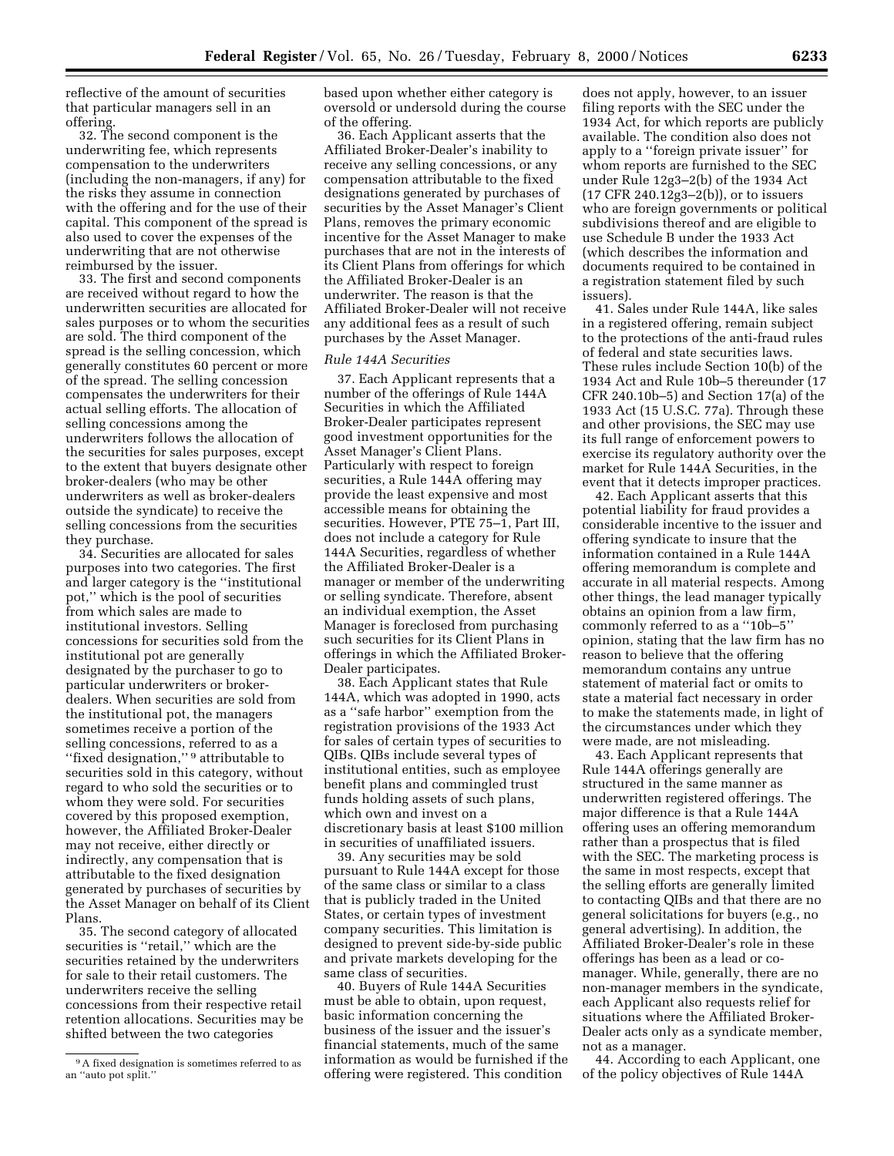reflective of the amount of securities that particular managers sell in an offering.

32. The second component is the underwriting fee, which represents compensation to the underwriters (including the non-managers, if any) for the risks they assume in connection with the offering and for the use of their capital. This component of the spread is also used to cover the expenses of the underwriting that are not otherwise reimbursed by the issuer.

33. The first and second components are received without regard to how the underwritten securities are allocated for sales purposes or to whom the securities are sold. The third component of the spread is the selling concession, which generally constitutes 60 percent or more of the spread. The selling concession compensates the underwriters for their actual selling efforts. The allocation of selling concessions among the underwriters follows the allocation of the securities for sales purposes, except to the extent that buyers designate other broker-dealers (who may be other underwriters as well as broker-dealers outside the syndicate) to receive the selling concessions from the securities they purchase.

34. Securities are allocated for sales purposes into two categories. The first and larger category is the ''institutional pot,'' which is the pool of securities from which sales are made to institutional investors. Selling concessions for securities sold from the institutional pot are generally designated by the purchaser to go to particular underwriters or brokerdealers. When securities are sold from the institutional pot, the managers sometimes receive a portion of the selling concessions, referred to as a ''fixed designation,'' 9 attributable to securities sold in this category, without regard to who sold the securities or to whom they were sold. For securities covered by this proposed exemption, however, the Affiliated Broker-Dealer may not receive, either directly or indirectly, any compensation that is attributable to the fixed designation generated by purchases of securities by the Asset Manager on behalf of its Client Plans.

35. The second category of allocated securities is ''retail,'' which are the securities retained by the underwriters for sale to their retail customers. The underwriters receive the selling concessions from their respective retail retention allocations. Securities may be shifted between the two categories

based upon whether either category is oversold or undersold during the course of the offering.

36. Each Applicant asserts that the Affiliated Broker-Dealer's inability to receive any selling concessions, or any compensation attributable to the fixed designations generated by purchases of securities by the Asset Manager's Client Plans, removes the primary economic incentive for the Asset Manager to make purchases that are not in the interests of its Client Plans from offerings for which the Affiliated Broker-Dealer is an underwriter. The reason is that the Affiliated Broker-Dealer will not receive any additional fees as a result of such purchases by the Asset Manager.

#### *Rule 144A Securities*

37. Each Applicant represents that a number of the offerings of Rule 144A Securities in which the Affiliated Broker-Dealer participates represent good investment opportunities for the Asset Manager's Client Plans. Particularly with respect to foreign securities, a Rule 144A offering may provide the least expensive and most accessible means for obtaining the securities. However, PTE 75–1, Part III, does not include a category for Rule 144A Securities, regardless of whether the Affiliated Broker-Dealer is a manager or member of the underwriting or selling syndicate. Therefore, absent an individual exemption, the Asset Manager is foreclosed from purchasing such securities for its Client Plans in offerings in which the Affiliated Broker-Dealer participates.

38. Each Applicant states that Rule 144A, which was adopted in 1990, acts as a ''safe harbor'' exemption from the registration provisions of the 1933 Act for sales of certain types of securities to QIBs. QIBs include several types of institutional entities, such as employee benefit plans and commingled trust funds holding assets of such plans, which own and invest on a discretionary basis at least \$100 million in securities of unaffiliated issuers.

39. Any securities may be sold pursuant to Rule 144A except for those of the same class or similar to a class that is publicly traded in the United States, or certain types of investment company securities. This limitation is designed to prevent side-by-side public and private markets developing for the same class of securities.

40. Buyers of Rule 144A Securities must be able to obtain, upon request, basic information concerning the business of the issuer and the issuer's financial statements, much of the same information as would be furnished if the offering were registered. This condition

does not apply, however, to an issuer filing reports with the SEC under the 1934 Act, for which reports are publicly available. The condition also does not apply to a ''foreign private issuer'' for whom reports are furnished to the SEC under Rule 12g3–2(b) of the 1934 Act (17 CFR 240.12g3–2(b)), or to issuers who are foreign governments or political subdivisions thereof and are eligible to use Schedule B under the 1933 Act (which describes the information and documents required to be contained in a registration statement filed by such issuers).

41. Sales under Rule 144A, like sales in a registered offering, remain subject to the protections of the anti-fraud rules of federal and state securities laws. These rules include Section 10(b) of the 1934 Act and Rule 10b–5 thereunder (17 CFR 240.10b–5) and Section 17(a) of the 1933 Act (15 U.S.C. 77a). Through these and other provisions, the SEC may use its full range of enforcement powers to exercise its regulatory authority over the market for Rule 144A Securities, in the event that it detects improper practices.

42. Each Applicant asserts that this potential liability for fraud provides a considerable incentive to the issuer and offering syndicate to insure that the information contained in a Rule 144A offering memorandum is complete and accurate in all material respects. Among other things, the lead manager typically obtains an opinion from a law firm, commonly referred to as a ''10b–5'' opinion, stating that the law firm has no reason to believe that the offering memorandum contains any untrue statement of material fact or omits to state a material fact necessary in order to make the statements made, in light of the circumstances under which they were made, are not misleading.

43. Each Applicant represents that Rule 144A offerings generally are structured in the same manner as underwritten registered offerings. The major difference is that a Rule 144A offering uses an offering memorandum rather than a prospectus that is filed with the SEC. The marketing process is the same in most respects, except that the selling efforts are generally limited to contacting QIBs and that there are no general solicitations for buyers (e.g., no general advertising). In addition, the Affiliated Broker-Dealer's role in these offerings has been as a lead or comanager. While, generally, there are no non-manager members in the syndicate, each Applicant also requests relief for situations where the Affiliated Broker-Dealer acts only as a syndicate member, not as a manager.

44. According to each Applicant, one of the policy objectives of Rule 144A

<sup>9</sup>A fixed designation is sometimes referred to as an ''auto pot split.''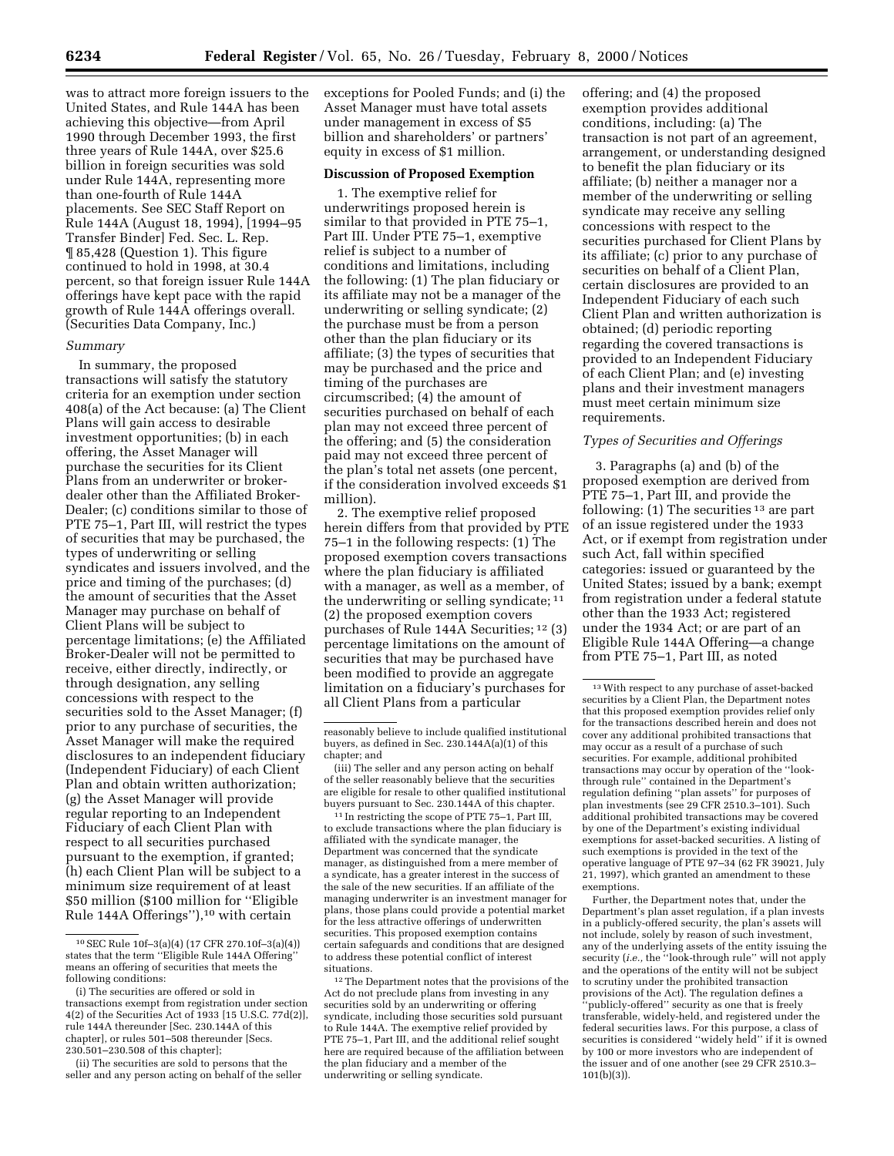was to attract more foreign issuers to the United States, and Rule 144A has been achieving this objective—from April 1990 through December 1993, the first three years of Rule 144A, over \$25.6 billion in foreign securities was sold under Rule 144A, representing more than one-fourth of Rule 144A placements. See SEC Staff Report on Rule 144A (August 18, 1994), [1994–95 Transfer Binder] Fed. Sec. L. Rep. ¶ 85,428 (Question 1). This figure continued to hold in 1998, at 30.4 percent, so that foreign issuer Rule 144A offerings have kept pace with the rapid growth of Rule 144A offerings overall. (Securities Data Company, Inc.)

### *Summary*

In summary, the proposed transactions will satisfy the statutory criteria for an exemption under section 408(a) of the Act because: (a) The Client Plans will gain access to desirable investment opportunities; (b) in each offering, the Asset Manager will purchase the securities for its Client Plans from an underwriter or brokerdealer other than the Affiliated Broker-Dealer; (c) conditions similar to those of PTE 75–1, Part III, will restrict the types of securities that may be purchased, the types of underwriting or selling syndicates and issuers involved, and the price and timing of the purchases; (d) the amount of securities that the Asset Manager may purchase on behalf of Client Plans will be subject to percentage limitations; (e) the Affiliated Broker-Dealer will not be permitted to receive, either directly, indirectly, or through designation, any selling concessions with respect to the securities sold to the Asset Manager; (f) prior to any purchase of securities, the Asset Manager will make the required disclosures to an independent fiduciary (Independent Fiduciary) of each Client Plan and obtain written authorization; (g) the Asset Manager will provide regular reporting to an Independent Fiduciary of each Client Plan with respect to all securities purchased pursuant to the exemption, if granted; (h) each Client Plan will be subject to a minimum size requirement of at least \$50 million (\$100 million for ''Eligible Rule 144A Offerings''),10 with certain

(ii) The securities are sold to persons that the seller and any person acting on behalf of the seller

exceptions for Pooled Funds; and (i) the Asset Manager must have total assets under management in excess of \$5 billion and shareholders' or partners' equity in excess of \$1 million.

# **Discussion of Proposed Exemption**

1. The exemptive relief for underwritings proposed herein is similar to that provided in PTE 75–1, Part III. Under PTE 75–1, exemptive relief is subject to a number of conditions and limitations, including the following: (1) The plan fiduciary or its affiliate may not be a manager of the underwriting or selling syndicate; (2) the purchase must be from a person other than the plan fiduciary or its affiliate; (3) the types of securities that may be purchased and the price and timing of the purchases are circumscribed; (4) the amount of securities purchased on behalf of each plan may not exceed three percent of the offering; and (5) the consideration paid may not exceed three percent of the plan's total net assets (one percent, if the consideration involved exceeds \$1 million).

2. The exemptive relief proposed herein differs from that provided by PTE 75–1 in the following respects: (1) The proposed exemption covers transactions where the plan fiduciary is affiliated with a manager, as well as a member, of the underwriting or selling syndicate; 11 (2) the proposed exemption covers purchases of Rule 144A Securities; 12 (3) percentage limitations on the amount of securities that may be purchased have been modified to provide an aggregate limitation on a fiduciary's purchases for all Client Plans from a particular

(iii) The seller and any person acting on behalf of the seller reasonably believe that the securities are eligible for resale to other qualified institutional buyers pursuant to Sec. 230.144A of this chapter.

11 In restricting the scope of PTE 75–1, Part III, to exclude transactions where the plan fiduciary is affiliated with the syndicate manager, the Department was concerned that the syndicate manager, as distinguished from a mere member of a syndicate, has a greater interest in the success of the sale of the new securities. If an affiliate of the managing underwriter is an investment manager for plans, those plans could provide a potential market for the less attractive offerings of underwritten securities. This proposed exemption contains certain safeguards and conditions that are designed to address these potential conflict of interest situations.

<sup>12</sup>The Department notes that the provisions of the Act do not preclude plans from investing in any securities sold by an underwriting or offering syndicate, including those securities sold pursuant to Rule 144A. The exemptive relief provided by PTE 75–1, Part III, and the additional relief sought here are required because of the affiliation between the plan fiduciary and a member of the underwriting or selling syndicate.

offering; and (4) the proposed exemption provides additional conditions, including: (a) The transaction is not part of an agreement, arrangement, or understanding designed to benefit the plan fiduciary or its affiliate; (b) neither a manager nor a member of the underwriting or selling syndicate may receive any selling concessions with respect to the securities purchased for Client Plans by its affiliate; (c) prior to any purchase of securities on behalf of a Client Plan, certain disclosures are provided to an Independent Fiduciary of each such Client Plan and written authorization is obtained; (d) periodic reporting regarding the covered transactions is provided to an Independent Fiduciary of each Client Plan; and (e) investing plans and their investment managers must meet certain minimum size requirements.

# *Types of Securities and Offerings*

3. Paragraphs (a) and (b) of the proposed exemption are derived from PTE 75–1, Part III, and provide the following: (1) The securities 13 are part of an issue registered under the 1933 Act, or if exempt from registration under such Act, fall within specified categories: issued or guaranteed by the United States; issued by a bank; exempt from registration under a federal statute other than the 1933 Act; registered under the 1934 Act; or are part of an Eligible Rule 144A Offering—a change from PTE 75–1, Part III, as noted

Further, the Department notes that, under the Department's plan asset regulation, if a plan invests in a publicly-offered security, the plan's assets will not include, solely by reason of such investment, any of the underlying assets of the entity issuing the security (*i.e.,* the ''look-through rule'' will not apply and the operations of the entity will not be subject to scrutiny under the prohibited transaction provisions of the Act). The regulation defines a 'publicly-offered'' security as one that is freely transferable, widely-held, and registered under the federal securities laws. For this purpose, a class of securities is considered ''widely held'' if it is owned by 100 or more investors who are independent of the issuer and of one another (see 29 CFR 2510.3– 101(b)(3)).

<sup>10</sup>SEC Rule 10f–3(a)(4) (17 CFR 270.10f–3(a)(4)) states that the term ''Eligible Rule 144A Offering'' means an offering of securities that meets the following conditions:

<sup>(</sup>i) The securities are offered or sold in transactions exempt from registration under section 4(2) of the Securities Act of 1933 [15 U.S.C. 77d(2)], rule 144A thereunder [Sec. 230.144A of this chapter], or rules 501–508 thereunder [Secs. 230.501–230.508 of this chapter];

reasonably believe to include qualified institutional buyers, as defined in Sec. 230.144A(a)(1) of this chapter; and

 $^{\rm 13}$  With respect to any purchase of asset-backed securities by a Client Plan, the Department notes that this proposed exemption provides relief only for the transactions described herein and does not cover any additional prohibited transactions that may occur as a result of a purchase of such securities. For example, additional prohibited transactions may occur by operation of the ''lookthrough rule'' contained in the Department's regulation defining ''plan assets'' for purposes of plan investments (see 29 CFR 2510.3–101). Such additional prohibited transactions may be covered by one of the Department's existing individual exemptions for asset-backed securities. A listing of such exemptions is provided in the text of the operative language of PTE 97–34 (62 FR 39021, July 21, 1997), which granted an amendment to these exemptions.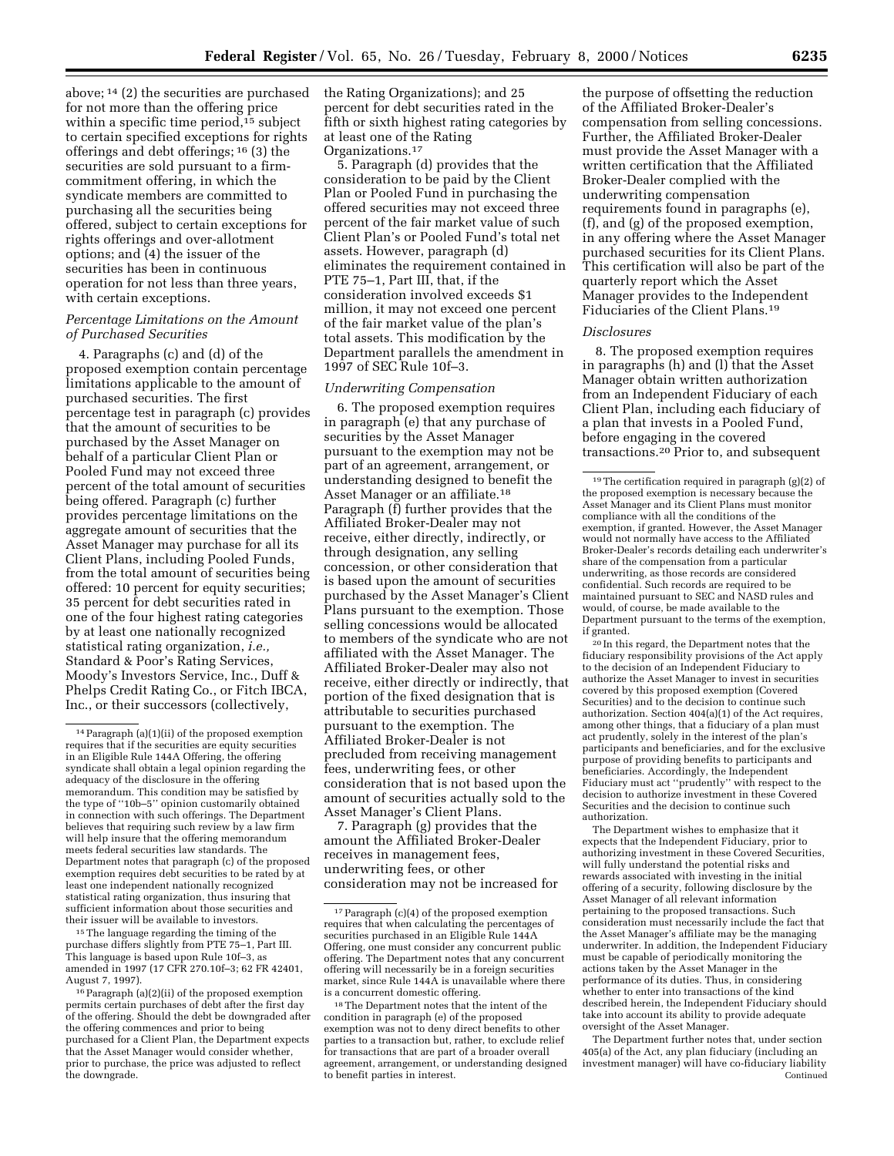above; 14 (2) the securities are purchased for not more than the offering price within a specific time period,<sup>15</sup> subject to certain specified exceptions for rights offerings and debt offerings; 16 (3) the securities are sold pursuant to a firmcommitment offering, in which the syndicate members are committed to purchasing all the securities being offered, subject to certain exceptions for rights offerings and over-allotment options; and (4) the issuer of the securities has been in continuous operation for not less than three years, with certain exceptions.

# *Percentage Limitations on the Amount of Purchased Securities*

4. Paragraphs (c) and (d) of the proposed exemption contain percentage limitations applicable to the amount of purchased securities. The first percentage test in paragraph (c) provides that the amount of securities to be purchased by the Asset Manager on behalf of a particular Client Plan or Pooled Fund may not exceed three percent of the total amount of securities being offered. Paragraph (c) further provides percentage limitations on the aggregate amount of securities that the Asset Manager may purchase for all its Client Plans, including Pooled Funds, from the total amount of securities being offered: 10 percent for equity securities; 35 percent for debt securities rated in one of the four highest rating categories by at least one nationally recognized statistical rating organization, *i.e.,* Standard & Poor's Rating Services, Moody's Investors Service, Inc., Duff & Phelps Credit Rating Co., or Fitch IBCA, Inc., or their successors (collectively,

<sup>15</sup> The language regarding the timing of the purchase differs slightly from PTE 75–1, Part III. This language is based upon Rule 10f–3, as amended in 1997 (17 CFR 270.10f–3; 62 FR 42401, August 7, 1997).

the Rating Organizations); and 25 percent for debt securities rated in the fifth or sixth highest rating categories by at least one of the Rating Organizations.17

5. Paragraph (d) provides that the consideration to be paid by the Client Plan or Pooled Fund in purchasing the offered securities may not exceed three percent of the fair market value of such Client Plan's or Pooled Fund's total net assets. However, paragraph (d) eliminates the requirement contained in PTE 75–1, Part III, that, if the consideration involved exceeds \$1 million, it may not exceed one percent of the fair market value of the plan's total assets. This modification by the Department parallels the amendment in 1997 of SEC Rule 10f–3.

# *Underwriting Compensation*

6. The proposed exemption requires in paragraph (e) that any purchase of securities by the Asset Manager pursuant to the exemption may not be part of an agreement, arrangement, or understanding designed to benefit the Asset Manager or an affiliate.18 Paragraph (f) further provides that the Affiliated Broker-Dealer may not receive, either directly, indirectly, or through designation, any selling concession, or other consideration that is based upon the amount of securities purchased by the Asset Manager's Client Plans pursuant to the exemption. Those selling concessions would be allocated to members of the syndicate who are not affiliated with the Asset Manager. The Affiliated Broker-Dealer may also not receive, either directly or indirectly, that portion of the fixed designation that is attributable to securities purchased pursuant to the exemption. The Affiliated Broker-Dealer is not precluded from receiving management fees, underwriting fees, or other consideration that is not based upon the amount of securities actually sold to the Asset Manager's Client Plans.

7. Paragraph (g) provides that the amount the Affiliated Broker-Dealer receives in management fees, underwriting fees, or other consideration may not be increased for

the purpose of offsetting the reduction of the Affiliated Broker-Dealer's compensation from selling concessions. Further, the Affiliated Broker-Dealer must provide the Asset Manager with a written certification that the Affiliated Broker-Dealer complied with the underwriting compensation requirements found in paragraphs (e), (f), and (g) of the proposed exemption, in any offering where the Asset Manager purchased securities for its Client Plans. This certification will also be part of the quarterly report which the Asset Manager provides to the Independent Fiduciaries of the Client Plans.19

#### *Disclosures*

8. The proposed exemption requires in paragraphs (h) and (l) that the Asset Manager obtain written authorization from an Independent Fiduciary of each Client Plan, including each fiduciary of a plan that invests in a Pooled Fund, before engaging in the covered transactions.20 Prior to, and subsequent

20 In this regard, the Department notes that the fiduciary responsibility provisions of the Act apply to the decision of an Independent Fiduciary to authorize the Asset Manager to invest in securities covered by this proposed exemption (Covered Securities) and to the decision to continue such authorization. Section 404(a)(1) of the Act requires, among other things, that a fiduciary of a plan must act prudently, solely in the interest of the plan's participants and beneficiaries, and for the exclusive purpose of providing benefits to participants and beneficiaries. Accordingly, the Independent Fiduciary must act ''prudently'' with respect to the decision to authorize investment in these Covered Securities and the decision to continue such authorization.

The Department wishes to emphasize that it expects that the Independent Fiduciary, prior to authorizing investment in these Covered Securities, will fully understand the potential risks and rewards associated with investing in the initial offering of a security, following disclosure by the Asset Manager of all relevant information pertaining to the proposed transactions. Such consideration must necessarily include the fact that the Asset Manager's affiliate may be the managing underwriter. In addition, the Independent Fiduciary must be capable of periodically monitoring the actions taken by the Asset Manager in the performance of its duties. Thus, in considering whether to enter into transactions of the kind described herein, the Independent Fiduciary should take into account its ability to provide adequate oversight of the Asset Manager.

The Department further notes that, under section 405(a) of the Act, any plan fiduciary (including an investment manager) will have co-fiduciary liability Continued

<sup>14</sup>Paragraph (a)(1)(ii) of the proposed exemption requires that if the securities are equity securities in an Eligible Rule 144A Offering, the offering syndicate shall obtain a legal opinion regarding the adequacy of the disclosure in the offering memorandum. This condition may be satisfied by the type of ''10b–5'' opinion customarily obtained in connection with such offerings. The Department believes that requiring such review by a law firm will help insure that the offering memorandum meets federal securities law standards. The Department notes that paragraph (c) of the proposed exemption requires debt securities to be rated by at least one independent nationally recognized statistical rating organization, thus insuring that sufficient information about those securities and their issuer will be available to investors.

<sup>16</sup>Paragraph (a)(2)(ii) of the proposed exemption permits certain purchases of debt after the first day of the offering. Should the debt be downgraded after the offering commences and prior to being purchased for a Client Plan, the Department expects that the Asset Manager would consider whether, prior to purchase, the price was adjusted to reflect the downgrade.

<sup>17</sup>Paragraph (c)(4) of the proposed exemption requires that when calculating the percentages of securities purchased in an Eligible Rule 144A Offering, one must consider any concurrent public offering. The Department notes that any concurrent offering will necessarily be in a foreign securities market, since Rule 144A is unavailable where there is a concurrent domestic offering.

<sup>18</sup>The Department notes that the intent of the condition in paragraph (e) of the proposed exemption was not to deny direct benefits to other parties to a transaction but, rather, to exclude relief for transactions that are part of a broader overall agreement, arrangement, or understanding designed to benefit parties in interest.

<sup>19</sup>The certification required in paragraph (g)(2) of the proposed exemption is necessary because the Asset Manager and its Client Plans must monitor compliance with all the conditions of the exemption, if granted. However, the Asset Manager would not normally have access to the Affiliated Broker-Dealer's records detailing each underwriter's share of the compensation from a particular underwriting, as those records are considered confidential. Such records are required to be maintained pursuant to SEC and NASD rules and would, of course, be made available to the Department pursuant to the terms of the exemption, if granted.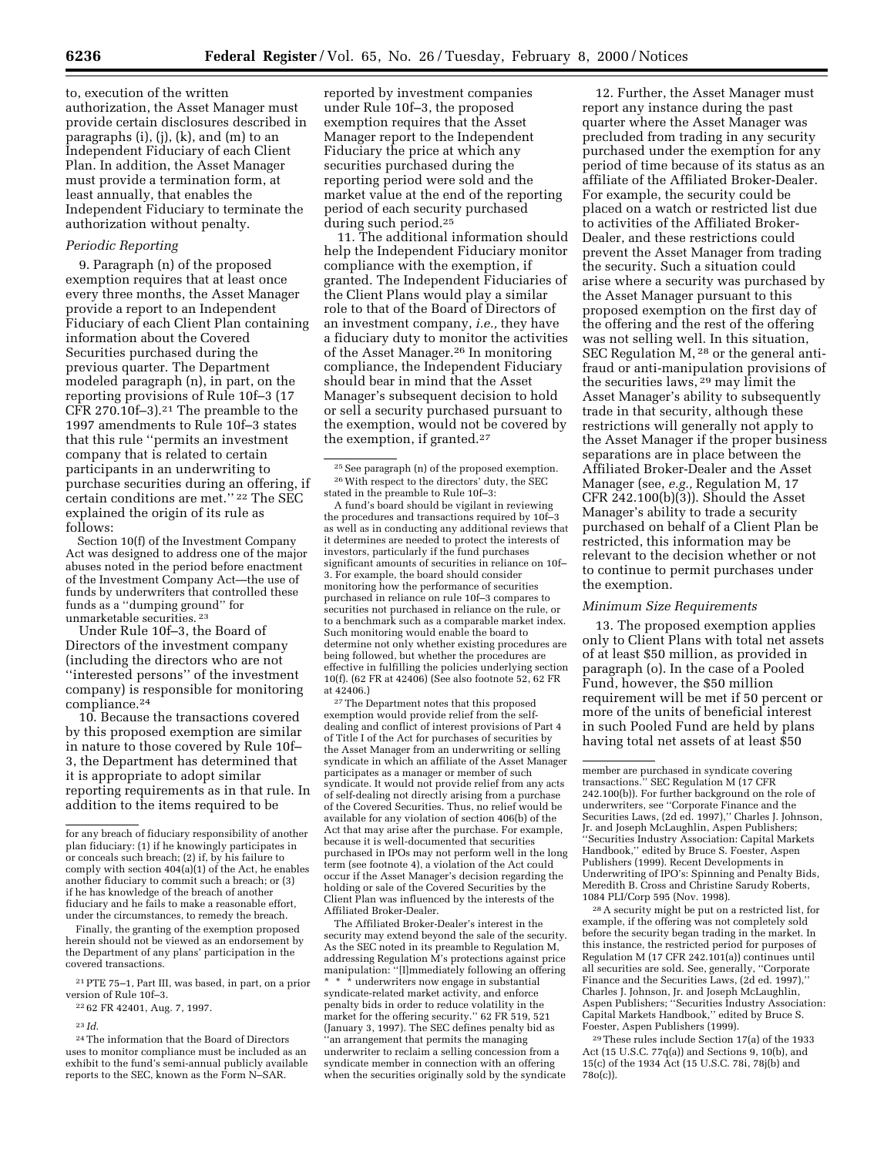to, execution of the written authorization, the Asset Manager must provide certain disclosures described in paragraphs (i), (j), (k), and (m) to an Independent Fiduciary of each Client Plan. In addition, the Asset Manager must provide a termination form, at least annually, that enables the Independent Fiduciary to terminate the authorization without penalty.

### *Periodic Reporting*

9. Paragraph (n) of the proposed exemption requires that at least once every three months, the Asset Manager provide a report to an Independent Fiduciary of each Client Plan containing information about the Covered Securities purchased during the previous quarter. The Department modeled paragraph (n), in part, on the reporting provisions of Rule 10f–3 (17 CFR 270.10f $-3$ ).<sup>21</sup> The preamble to the 1997 amendments to Rule 10f–3 states that this rule ''permits an investment company that is related to certain participants in an underwriting to purchase securities during an offering, if certain conditions are met.'' 22 The SEC explained the origin of its rule as follows:

Section 10(f) of the Investment Company Act was designed to address one of the major abuses noted in the period before enactment of the Investment Company Act—the use of funds by underwriters that controlled these funds as a ''dumping ground'' for unmarketable securities. 23

Under Rule 10f–3, the Board of Directors of the investment company (including the directors who are not ''interested persons'' of the investment company) is responsible for monitoring compliance.24

10. Because the transactions covered by this proposed exemption are similar in nature to those covered by Rule 10f– 3, the Department has determined that it is appropriate to adopt similar reporting requirements as in that rule. In addition to the items required to be

Finally, the granting of the exemption proposed herein should not be viewed as an endorsement by the Department of any plans' participation in the covered transactions.

21PTE 75–1, Part III, was based, in part, on a prior version of Rule 10f–3.

22 62 FR 42401, Aug. 7, 1997.

24The information that the Board of Directors uses to monitor compliance must be included as an exhibit to the fund's semi-annual publicly available reports to the SEC, known as the Form N–SAR.

reported by investment companies under Rule 10f–3, the proposed exemption requires that the Asset Manager report to the Independent Fiduciary the price at which any securities purchased during the reporting period were sold and the market value at the end of the reporting period of each security purchased during such period.25

11. The additional information should help the Independent Fiduciary monitor compliance with the exemption, if granted. The Independent Fiduciaries of the Client Plans would play a similar role to that of the Board of Directors of an investment company, *i.e.,* they have a fiduciary duty to monitor the activities of the Asset Manager.26 In monitoring compliance, the Independent Fiduciary should bear in mind that the Asset Manager's subsequent decision to hold or sell a security purchased pursuant to the exemption, would not be covered by the exemption, if granted.27

25See paragraph (n) of the proposed exemption. 26With respect to the directors' duty, the SEC stated in the preamble to Rule 10f–3:

A fund's board should be vigilant in reviewing the procedures and transactions required by 10f–3 as well as in conducting any additional reviews that it determines are needed to protect the interests of investors, particularly if the fund purchases significant amounts of securities in reliance on 10f– 3. For example, the board should consider monitoring how the performance of securities purchased in reliance on rule 10f–3 compares to securities not purchased in reliance on the rule, or to a benchmark such as a comparable market index. Such monitoring would enable the board to determine not only whether existing procedures are being followed, but whether the procedures are effective in fulfilling the policies underlying section 10(f). (62 FR at 42406) (See also footnote 52, 62 FR at 42406.)

27The Department notes that this proposed exemption would provide relief from the selfdealing and conflict of interest provisions of Part 4 of Title I of the Act for purchases of securities by the Asset Manager from an underwriting or selling syndicate in which an affiliate of the Asset Manager participates as a manager or member of such syndicate. It would not provide relief from any acts of self-dealing not directly arising from a purchase of the Covered Securities. Thus, no relief would be available for any violation of section 406(b) of the Act that may arise after the purchase. For example, because it is well-documented that securities purchased in IPOs may not perform well in the long term (see footnote 4), a violation of the Act could occur if the Asset Manager's decision regarding the holding or sale of the Covered Securities by the Client Plan was influenced by the interests of the Affiliated Broker-Dealer.

The Affiliated Broker-Dealer's interest in the security may extend beyond the sale of the security. As the SEC noted in its preamble to Regulation M, addressing Regulation M's protections against price manipulation: ''[I]mmediately following an offering \* \* \* underwriters now engage in substantial syndicate-related market activity, and enforce penalty bids in order to reduce volatility in the market for the offering security.'' 62 FR 519, 521 (January 3, 1997). The SEC defines penalty bid as ''an arrangement that permits the managing underwriter to reclaim a selling concession from a syndicate member in connection with an offering when the securities originally sold by the syndicate

12. Further, the Asset Manager must report any instance during the past quarter where the Asset Manager was precluded from trading in any security purchased under the exemption for any period of time because of its status as an affiliate of the Affiliated Broker-Dealer. For example, the security could be placed on a watch or restricted list due to activities of the Affiliated Broker-Dealer, and these restrictions could prevent the Asset Manager from trading the security. Such a situation could arise where a security was purchased by the Asset Manager pursuant to this proposed exemption on the first day of the offering and the rest of the offering was not selling well. In this situation, SEC Regulation M, 28 or the general antifraud or anti-manipulation provisions of the securities laws, 29 may limit the Asset Manager's ability to subsequently trade in that security, although these restrictions will generally not apply to the Asset Manager if the proper business separations are in place between the Affiliated Broker-Dealer and the Asset Manager (see, *e.g.,* Regulation M, 17 CFR 242.100(b)(3)). Should the Asset Manager's ability to trade a security purchased on behalf of a Client Plan be restricted, this information may be relevant to the decision whether or not to continue to permit purchases under the exemption.

#### *Minimum Size Requirements*

13. The proposed exemption applies only to Client Plans with total net assets of at least \$50 million, as provided in paragraph (o). In the case of a Pooled Fund, however, the \$50 million requirement will be met if 50 percent or more of the units of beneficial interest in such Pooled Fund are held by plans having total net assets of at least \$50

28A security might be put on a restricted list, for example, if the offering was not completely sold before the security began trading in the market. In this instance, the restricted period for purposes of Regulation M (17 CFR 242.101(a)) continues until all securities are sold. See, generally, ''Corporate Finance and the Securities Laws, (2d ed. 1997),'' Charles J. Johnson, Jr. and Joseph McLaughlin, Aspen Publishers; ''Securities Industry Association: Capital Markets Handbook,'' edited by Bruce S. Foester, Aspen Publishers (1999).

29These rules include Section 17(a) of the 1933 Act (15 U.S.C. 77q(a)) and Sections 9, 10(b), and 15(c) of the 1934 Act (15 U.S.C. 78i, 78j(b) and 78o(c)).

for any breach of fiduciary responsibility of another plan fiduciary: (1) if he knowingly participates in or conceals such breach; (2) if, by his failure to comply with section 404(a)(1) of the Act, he enables another fiduciary to commit such a breach; or (3) if he has knowledge of the breach of another fiduciary and he fails to make a reasonable effort, under the circumstances, to remedy the breach.

<sup>23</sup> *Id*.

member are purchased in syndicate covering transactions.'' SEC Regulation M (17 CFR 242.100(b)). For further background on the role of underwriters, see ''Corporate Finance and the Securities Laws, (2d ed. 1997),'' Charles J. Johnson, Jr. and Joseph McLaughlin, Aspen Publishers; ''Securities Industry Association: Capital Markets Handbook,'' edited by Bruce S. Foester, Aspen Publishers (1999). Recent Developments in Underwriting of IPO's: Spinning and Penalty Bids, Meredith B. Cross and Christine Sarudy Roberts, 1084 PLI/Corp 595 (Nov. 1998).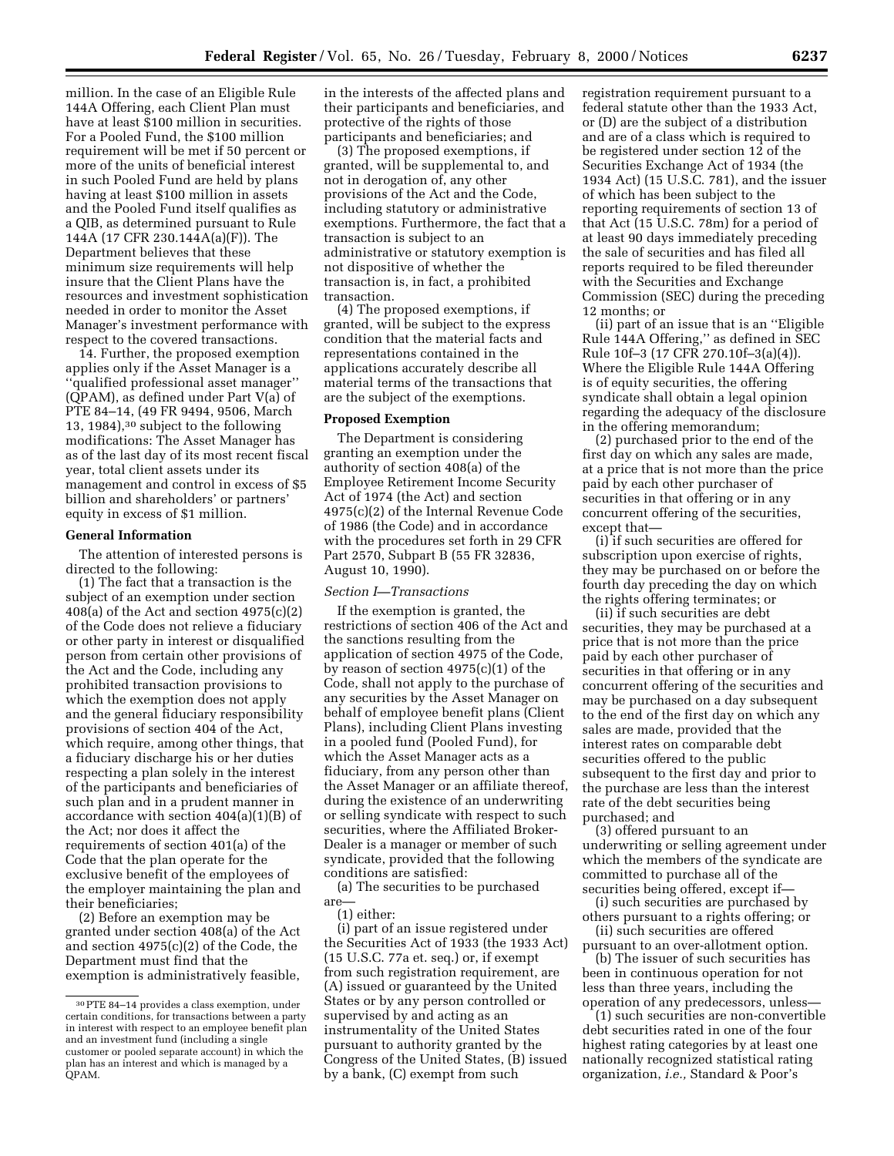million. In the case of an Eligible Rule 144A Offering, each Client Plan must have at least \$100 million in securities. For a Pooled Fund, the \$100 million requirement will be met if 50 percent or more of the units of beneficial interest in such Pooled Fund are held by plans having at least \$100 million in assets and the Pooled Fund itself qualifies as a QIB, as determined pursuant to Rule 144A (17 CFR 230.144A(a)(F)). The Department believes that these minimum size requirements will help insure that the Client Plans have the resources and investment sophistication needed in order to monitor the Asset Manager's investment performance with respect to the covered transactions.

14. Further, the proposed exemption applies only if the Asset Manager is a 'qualified professional asset manager" (QPAM), as defined under Part V(a) of PTE 84–14, (49 FR 9494, 9506, March 13, 1984),30 subject to the following modifications: The Asset Manager has as of the last day of its most recent fiscal year, total client assets under its management and control in excess of \$5 billion and shareholders' or partners' equity in excess of \$1 million.

## **General Information**

The attention of interested persons is directed to the following:

(1) The fact that a transaction is the subject of an exemption under section  $408(a)$  of the Act and section  $4975(c)(2)$ of the Code does not relieve a fiduciary or other party in interest or disqualified person from certain other provisions of the Act and the Code, including any prohibited transaction provisions to which the exemption does not apply and the general fiduciary responsibility provisions of section 404 of the Act, which require, among other things, that a fiduciary discharge his or her duties respecting a plan solely in the interest of the participants and beneficiaries of such plan and in a prudent manner in accordance with section 404(a)(1)(B) of the Act; nor does it affect the requirements of section 401(a) of the Code that the plan operate for the exclusive benefit of the employees of the employer maintaining the plan and their beneficiaries;

(2) Before an exemption may be granted under section 408(a) of the Act and section 4975(c)(2) of the Code, the Department must find that the exemption is administratively feasible, in the interests of the affected plans and their participants and beneficiaries, and protective of the rights of those participants and beneficiaries; and

(3) The proposed exemptions, if granted, will be supplemental to, and not in derogation of, any other provisions of the Act and the Code, including statutory or administrative exemptions. Furthermore, the fact that a transaction is subject to an administrative or statutory exemption is not dispositive of whether the transaction is, in fact, a prohibited transaction.

(4) The proposed exemptions, if granted, will be subject to the express condition that the material facts and representations contained in the applications accurately describe all material terms of the transactions that are the subject of the exemptions.

# **Proposed Exemption**

The Department is considering granting an exemption under the authority of section 408(a) of the Employee Retirement Income Security Act of 1974 (the Act) and section 4975(c)(2) of the Internal Revenue Code of 1986 (the Code) and in accordance with the procedures set forth in 29 CFR Part 2570, Subpart B (55 FR 32836, August 10, 1990).

## *Section I—Transactions*

If the exemption is granted, the restrictions of section 406 of the Act and the sanctions resulting from the application of section 4975 of the Code, by reason of section 4975(c)(1) of the Code, shall not apply to the purchase of any securities by the Asset Manager on behalf of employee benefit plans (Client Plans), including Client Plans investing in a pooled fund (Pooled Fund), for which the Asset Manager acts as a fiduciary, from any person other than the Asset Manager or an affiliate thereof, during the existence of an underwriting or selling syndicate with respect to such securities, where the Affiliated Broker-Dealer is a manager or member of such syndicate, provided that the following conditions are satisfied:

(a) The securities to be purchased are—

(1) either:

(i) part of an issue registered under the Securities Act of 1933 (the 1933 Act) (15 U.S.C. 77a et. seq.) or, if exempt from such registration requirement, are (A) issued or guaranteed by the United States or by any person controlled or supervised by and acting as an instrumentality of the United States pursuant to authority granted by the Congress of the United States, (B) issued by a bank, (C) exempt from such

registration requirement pursuant to a federal statute other than the 1933 Act, or (D) are the subject of a distribution and are of a class which is required to be registered under section 12 of the Securities Exchange Act of 1934 (the 1934 Act) (15 U.S.C. 781), and the issuer of which has been subject to the reporting requirements of section 13 of that Act (15 U.S.C. 78m) for a period of at least 90 days immediately preceding the sale of securities and has filed all reports required to be filed thereunder with the Securities and Exchange Commission (SEC) during the preceding 12 months; or

(ii) part of an issue that is an ''Eligible Rule 144A Offering,'' as defined in SEC Rule 10f–3 (17 CFR 270.10f–3(a)(4)). Where the Eligible Rule 144A Offering is of equity securities, the offering syndicate shall obtain a legal opinion regarding the adequacy of the disclosure in the offering memorandum;

(2) purchased prior to the end of the first day on which any sales are made, at a price that is not more than the price paid by each other purchaser of securities in that offering or in any concurrent offering of the securities, except that—

(i) if such securities are offered for subscription upon exercise of rights, they may be purchased on or before the fourth day preceding the day on which the rights offering terminates; or

(ii) if such securities are debt securities, they may be purchased at a price that is not more than the price paid by each other purchaser of securities in that offering or in any concurrent offering of the securities and may be purchased on a day subsequent to the end of the first day on which any sales are made, provided that the interest rates on comparable debt securities offered to the public subsequent to the first day and prior to the purchase are less than the interest rate of the debt securities being purchased; and

(3) offered pursuant to an underwriting or selling agreement under which the members of the syndicate are committed to purchase all of the securities being offered, except if—

(i) such securities are purchased by others pursuant to a rights offering; or

(ii) such securities are offered pursuant to an over-allotment option. (b) The issuer of such securities has been in continuous operation for not less than three years, including the operation of any predecessors, unless—

(1) such securities are non-convertible debt securities rated in one of the four highest rating categories by at least one nationally recognized statistical rating organization, *i.e.,* Standard & Poor's

<sup>30</sup>PTE 84–14 provides a class exemption, under certain conditions, for transactions between a party in interest with respect to an employee benefit plan and an investment fund (including a single customer or pooled separate account) in which the plan has an interest and which is managed by a QPAM.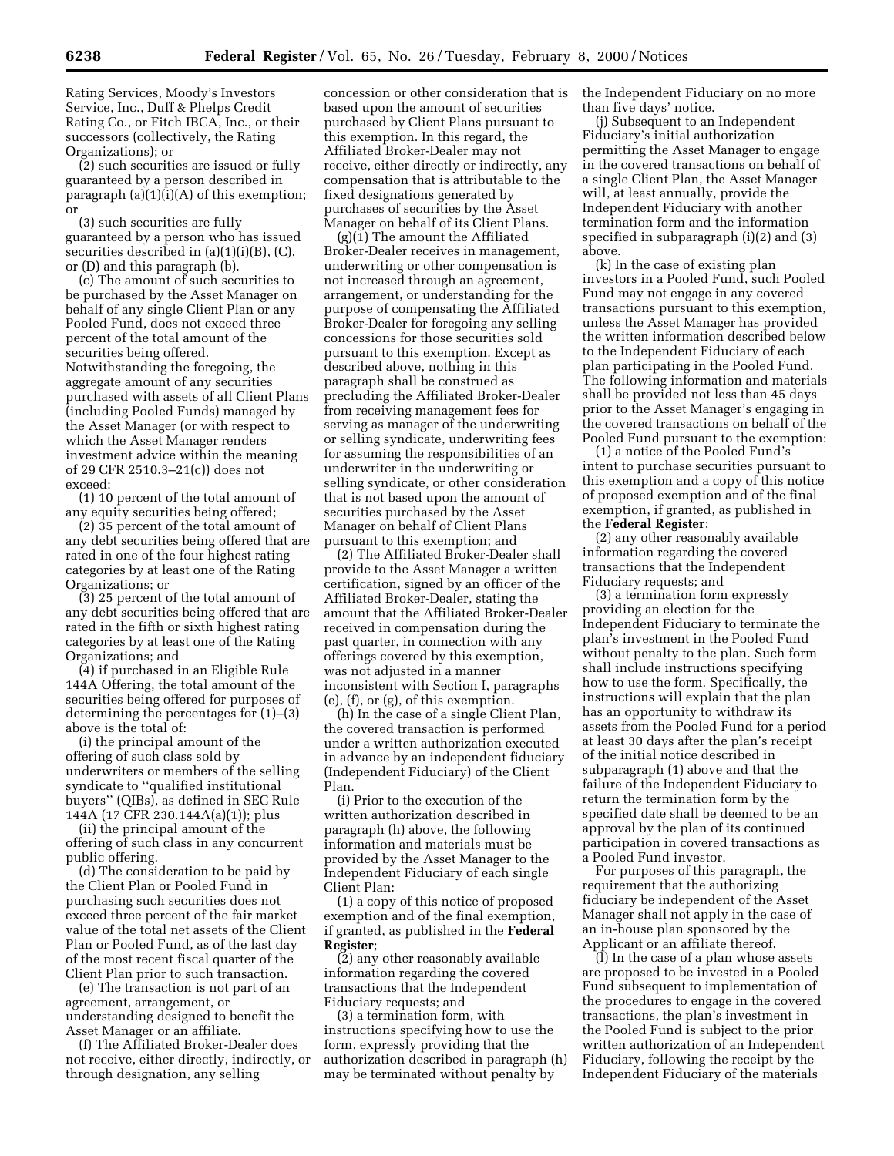Rating Services, Moody's Investors Service, Inc., Duff & Phelps Credit Rating Co., or Fitch IBCA, Inc., or their successors (collectively, the Rating Organizations); or

(2) such securities are issued or fully guaranteed by a person described in paragraph (a)(1)(i)(A) of this exemption; or

(3) such securities are fully guaranteed by a person who has issued securities described in (a)(1)(i)(B), (C), or (D) and this paragraph (b).

(c) The amount of such securities to be purchased by the Asset Manager on behalf of any single Client Plan or any Pooled Fund, does not exceed three percent of the total amount of the securities being offered. Notwithstanding the foregoing, the aggregate amount of any securities purchased with assets of all Client Plans (including Pooled Funds) managed by the Asset Manager (or with respect to which the Asset Manager renders investment advice within the meaning of 29 CFR 2510.3–21(c)) does not exceed:

(1) 10 percent of the total amount of any equity securities being offered;

(2) 35 percent of the total amount of any debt securities being offered that are rated in one of the four highest rating categories by at least one of the Rating Organizations; or

(3) 25 percent of the total amount of any debt securities being offered that are rated in the fifth or sixth highest rating categories by at least one of the Rating Organizations; and

(4) if purchased in an Eligible Rule 144A Offering, the total amount of the securities being offered for purposes of determining the percentages for (1)–(3) above is the total of:

(i) the principal amount of the offering of such class sold by underwriters or members of the selling syndicate to ''qualified institutional buyers'' (QIBs), as defined in SEC Rule 144A (17 CFR 230.144A(a)(1)); plus

(ii) the principal amount of the offering of such class in any concurrent public offering.

(d) The consideration to be paid by the Client Plan or Pooled Fund in purchasing such securities does not exceed three percent of the fair market value of the total net assets of the Client Plan or Pooled Fund, as of the last day of the most recent fiscal quarter of the Client Plan prior to such transaction.

(e) The transaction is not part of an agreement, arrangement, or understanding designed to benefit the Asset Manager or an affiliate.

(f) The Affiliated Broker-Dealer does not receive, either directly, indirectly, or through designation, any selling

concession or other consideration that is based upon the amount of securities purchased by Client Plans pursuant to this exemption. In this regard, the Affiliated Broker-Dealer may not receive, either directly or indirectly, any compensation that is attributable to the fixed designations generated by purchases of securities by the Asset Manager on behalf of its Client Plans.

(g)(1) The amount the Affiliated Broker-Dealer receives in management, underwriting or other compensation is not increased through an agreement, arrangement, or understanding for the purpose of compensating the Affiliated Broker-Dealer for foregoing any selling concessions for those securities sold pursuant to this exemption. Except as described above, nothing in this paragraph shall be construed as precluding the Affiliated Broker-Dealer from receiving management fees for serving as manager of the underwriting or selling syndicate, underwriting fees for assuming the responsibilities of an underwriter in the underwriting or selling syndicate, or other consideration that is not based upon the amount of securities purchased by the Asset Manager on behalf of Client Plans pursuant to this exemption; and

(2) The Affiliated Broker-Dealer shall provide to the Asset Manager a written certification, signed by an officer of the Affiliated Broker-Dealer, stating the amount that the Affiliated Broker-Dealer received in compensation during the past quarter, in connection with any offerings covered by this exemption, was not adjusted in a manner inconsistent with Section I, paragraphs (e), (f), or (g), of this exemption.

(h) In the case of a single Client Plan, the covered transaction is performed under a written authorization executed in advance by an independent fiduciary (Independent Fiduciary) of the Client Plan.

(i) Prior to the execution of the written authorization described in paragraph (h) above, the following information and materials must be provided by the Asset Manager to the Independent Fiduciary of each single Client Plan:

(1) a copy of this notice of proposed exemption and of the final exemption, if granted, as published in the **Federal Register**;

(2) any other reasonably available information regarding the covered transactions that the Independent Fiduciary requests; and

(3) a termination form, with instructions specifying how to use the form, expressly providing that the authorization described in paragraph (h) may be terminated without penalty by

the Independent Fiduciary on no more than five days' notice.

(j) Subsequent to an Independent Fiduciary's initial authorization permitting the Asset Manager to engage in the covered transactions on behalf of a single Client Plan, the Asset Manager will, at least annually, provide the Independent Fiduciary with another termination form and the information specified in subparagraph (i)(2) and (3) above.

(k) In the case of existing plan investors in a Pooled Fund, such Pooled Fund may not engage in any covered transactions pursuant to this exemption, unless the Asset Manager has provided the written information described below to the Independent Fiduciary of each plan participating in the Pooled Fund. The following information and materials shall be provided not less than 45 days prior to the Asset Manager's engaging in the covered transactions on behalf of the Pooled Fund pursuant to the exemption:

(1) a notice of the Pooled Fund's intent to purchase securities pursuant to this exemption and a copy of this notice of proposed exemption and of the final exemption, if granted, as published in the **Federal Register**;

(2) any other reasonably available information regarding the covered transactions that the Independent Fiduciary requests; and

(3) a termination form expressly providing an election for the Independent Fiduciary to terminate the plan's investment in the Pooled Fund without penalty to the plan. Such form shall include instructions specifying how to use the form. Specifically, the instructions will explain that the plan has an opportunity to withdraw its assets from the Pooled Fund for a period at least 30 days after the plan's receipt of the initial notice described in subparagraph (1) above and that the failure of the Independent Fiduciary to return the termination form by the specified date shall be deemed to be an approval by the plan of its continued participation in covered transactions as a Pooled Fund investor.

For purposes of this paragraph, the requirement that the authorizing fiduciary be independent of the Asset Manager shall not apply in the case of an in-house plan sponsored by the Applicant or an affiliate thereof.

(l) In the case of a plan whose assets are proposed to be invested in a Pooled Fund subsequent to implementation of the procedures to engage in the covered transactions, the plan's investment in the Pooled Fund is subject to the prior written authorization of an Independent Fiduciary, following the receipt by the Independent Fiduciary of the materials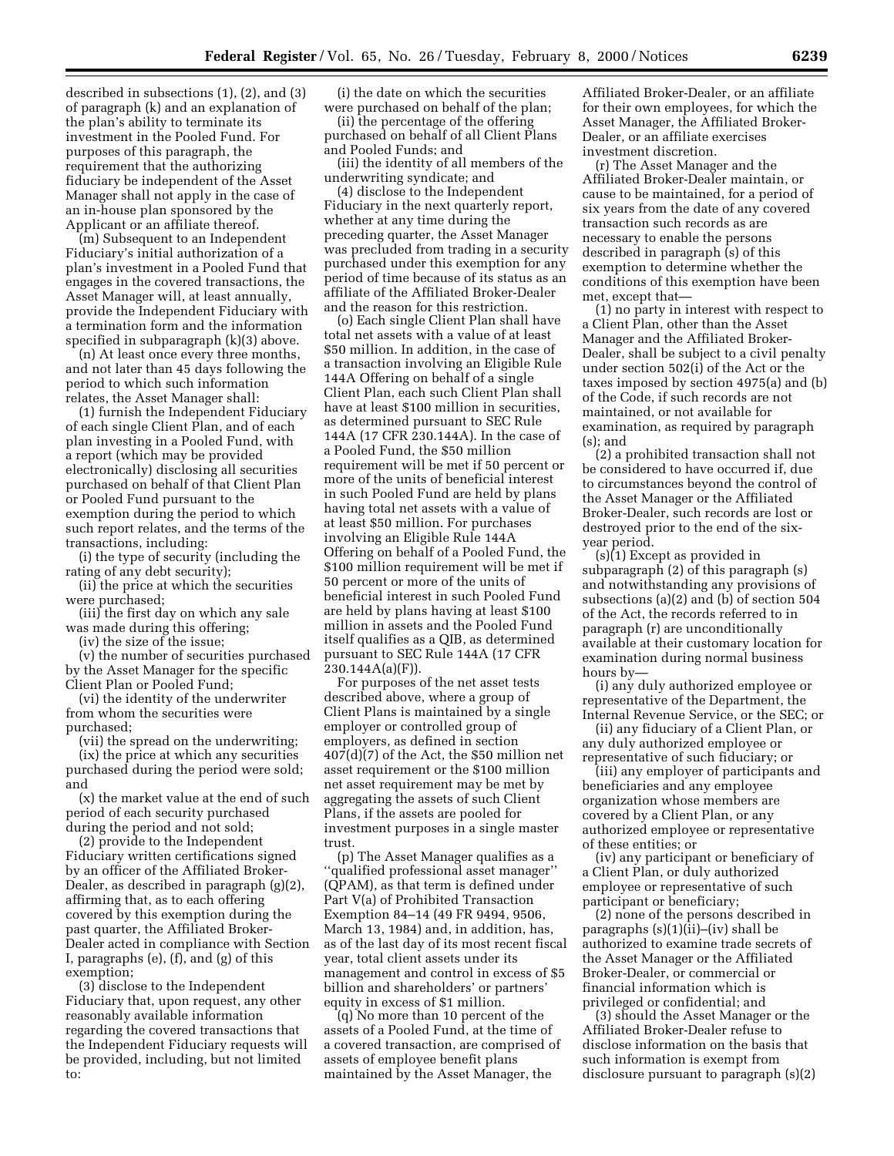described in subsections (1), (2), and (3) of paragraph (k) and an explanation of the plan's ability to terminate its investment in the Pooled Fund. For purposes of this paragraph, the requirement that the authorizing fiduciary be independent of the Asset Manager shall not apply in the case of an in-house plan sponsored by the Applicant or an affiliate thereof.

(m) Subsequent to an Independent Fiduciary's initial authorization of a plan's investment in a Pooled Fund that engages in the covered transactions, the Asset Manager will, at least annually, provide the Independent Fiduciary with a termination form and the information specified in subparagraph (k)(3) above.

(n) At least once every three months, and not later than 45 days following the period to which such information relates, the Asset Manager shall:

(1) furnish the Independent Fiduciary of each single Client Plan, and of each plan investing in a Pooled Fund, with a report (which may be provided electronically) disclosing all securities purchased on behalf of that Client Plan or Pooled Fund pursuant to the exemption during the period to which such report relates, and the terms of the transactions, including:

(i) the type of security (including the rating of any debt security);

(ii) the price at which the securities were purchased;

(iii) the first day on which any sale was made during this offering;

(iv) the size of the issue;

(v) the number of securities purchased by the Asset Manager for the specific Client Plan or Pooled Fund;

(vi) the identity of the underwriter from whom the securities were purchased;

(vii) the spread on the underwriting; (ix) the price at which any securities

purchased during the period were sold; and

(x) the market value at the end of such period of each security purchased during the period and not sold;

(2) provide to the Independent Fiduciary written certifications signed by an officer of the Affiliated Broker-Dealer, as described in paragraph (g)(2), affirming that, as to each offering covered by this exemption during the past quarter, the Affiliated Broker-Dealer acted in compliance with Section I, paragraphs (e), (f), and (g) of this exemption;

(3) disclose to the Independent Fiduciary that, upon request, any other reasonably available information regarding the covered transactions that the Independent Fiduciary requests will be provided, including, but not limited to:

(i) the date on which the securities were purchased on behalf of the plan;

(ii) the percentage of the offering purchased on behalf of all Client Plans and Pooled Funds; and

(iii) the identity of all members of the underwriting syndicate; and

(4) disclose to the Independent Fiduciary in the next quarterly report, whether at any time during the preceding quarter, the Asset Manager was precluded from trading in a security purchased under this exemption for any period of time because of its status as an affiliate of the Affiliated Broker-Dealer and the reason for this restriction.

(o) Each single Client Plan shall have total net assets with a value of at least \$50 million. In addition, in the case of a transaction involving an Eligible Rule 144A Offering on behalf of a single Client Plan, each such Client Plan shall have at least \$100 million in securities, as determined pursuant to SEC Rule 144A (17 CFR 230.144A). In the case of a Pooled Fund, the \$50 million requirement will be met if 50 percent or more of the units of beneficial interest in such Pooled Fund are held by plans having total net assets with a value of at least \$50 million. For purchases involving an Eligible Rule 144A Offering on behalf of a Pooled Fund, the \$100 million requirement will be met if 50 percent or more of the units of beneficial interest in such Pooled Fund are held by plans having at least \$100 million in assets and the Pooled Fund itself qualifies as a QIB, as determined pursuant to SEC Rule 144A (17 CFR  $230.144A(a)(F)$ 

For purposes of the net asset tests described above, where a group of Client Plans is maintained by a single employer or controlled group of employers, as defined in section 407(d)(7) of the Act, the \$50 million net asset requirement or the \$100 million net asset requirement may be met by aggregating the assets of such Client Plans, if the assets are pooled for investment purposes in a single master trust.

(p) The Asset Manager qualifies as a ''qualified professional asset manager'' (QPAM), as that term is defined under Part V(a) of Prohibited Transaction Exemption 84–14 (49 FR 9494, 9506, March 13, 1984) and, in addition, has, as of the last day of its most recent fiscal year, total client assets under its management and control in excess of \$5 billion and shareholders' or partners' equity in excess of \$1 million.

(q) No more than 10 percent of the assets of a Pooled Fund, at the time of a covered transaction, are comprised of assets of employee benefit plans maintained by the Asset Manager, the

Affiliated Broker-Dealer, or an affiliate for their own employees, for which the Asset Manager, the Affiliated Broker-Dealer, or an affiliate exercises investment discretion.

(r) The Asset Manager and the Affiliated Broker-Dealer maintain, or cause to be maintained, for a period of six years from the date of any covered transaction such records as are necessary to enable the persons described in paragraph (s) of this exemption to determine whether the conditions of this exemption have been met, except that—

(1) no party in interest with respect to a Client Plan, other than the Asset Manager and the Affiliated Broker-Dealer, shall be subject to a civil penalty under section 502(i) of the Act or the taxes imposed by section 4975(a) and (b) of the Code, if such records are not maintained, or not available for examination, as required by paragraph (s); and

(2) a prohibited transaction shall not be considered to have occurred if, due to circumstances beyond the control of the Asset Manager or the Affiliated Broker-Dealer, such records are lost or destroyed prior to the end of the sixyear period.

(s)(1) Except as provided in subparagraph (2) of this paragraph (s) and notwithstanding any provisions of subsections (a)(2) and (b) of section 504 of the Act, the records referred to in paragraph (r) are unconditionally available at their customary location for examination during normal business hours by—

(i) any duly authorized employee or representative of the Department, the Internal Revenue Service, or the SEC; or

(ii) any fiduciary of a Client Plan, or any duly authorized employee or representative of such fiduciary; or

(iii) any employer of participants and beneficiaries and any employee organization whose members are covered by a Client Plan, or any authorized employee or representative of these entities; or

(iv) any participant or beneficiary of a Client Plan, or duly authorized employee or representative of such participant or beneficiary;

(2) none of the persons described in paragraphs (s)(1)(ii)–(iv) shall be authorized to examine trade secrets of the Asset Manager or the Affiliated Broker-Dealer, or commercial or financial information which is privileged or confidential; and

(3) should the Asset Manager or the Affiliated Broker-Dealer refuse to disclose information on the basis that such information is exempt from disclosure pursuant to paragraph (s)(2)